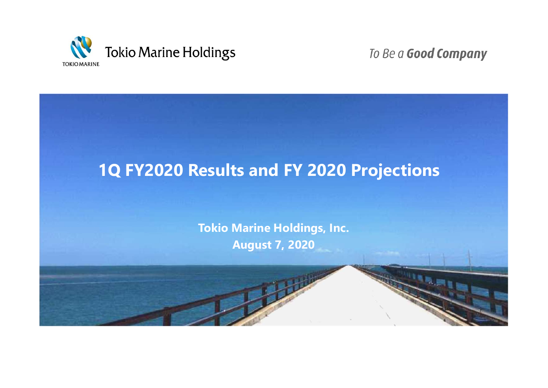

To Be a Good Company

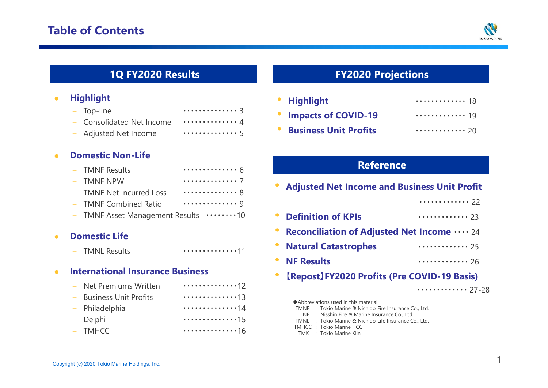

## **1Q FY2020 Results**

#### $\bullet$ **Highlight**

| $-$ Top-line              | 3   |
|---------------------------|-----|
| - Consolidated Net Income | . 4 |
| - Adjusted Net Income     | . 5 |

#### $\bullet$ **Domestic Non-Life**

| - TMNF Results                             | . 6 |
|--------------------------------------------|-----|
| $-$ TMNF NPW                               | . 7 |
| - TMNF Net Incurred Loss                   | . 8 |
| - TMNF Combined Ratio                      | . 9 |
| - TMNF Asset Management Results ········10 |     |

#### $\bullet$ **Domestic Life**

|  | - TMNL Results | . 11 |
|--|----------------|------|
|--|----------------|------|

#### $\bullet$ **International Insurance Business**

| - Net Premiums Written  | . 12 |
|-------------------------|------|
| - Business Unit Profits | . 13 |
| - Philadelphia          | . 14 |
| - Delphi                | 15   |
| - TMHCC                 | 16   |

## **FY2020 Projections**

| • Highlight             | . 18                                   |
|-------------------------|----------------------------------------|
| • Impacts of COVID-19   | . 19                                   |
| • Business Unit Profits | $\cdots \cdots \cdots \cdots \cdot 20$ |

## **Reference**

| <b>Adjusted Net Income and Business Unit Profit</b> |       |  |  |  |  |  |
|-----------------------------------------------------|-------|--|--|--|--|--|
|                                                     | 22    |  |  |  |  |  |
| <b>Definition of KPIs</b>                           | 23    |  |  |  |  |  |
| <b>Reconciliation of Adjusted Net Income </b> 24    |       |  |  |  |  |  |
| <b>Natural Catastrophes</b>                         | 25    |  |  |  |  |  |
| <b>NF Results</b>                                   | 26    |  |  |  |  |  |
| [Repost] FY2020 Profits (Pre COVID-19 Basis)        |       |  |  |  |  |  |
|                                                     | 27-28 |  |  |  |  |  |

| Abbreviations used in this material |  |                                                        |  |  |  |  |  |
|-------------------------------------|--|--------------------------------------------------------|--|--|--|--|--|
|                                     |  | TMNF : Tokio Marine & Nichido Fire Insurance Co., Ltd. |  |  |  |  |  |
|                                     |  | NF: Nisshin Fire & Marine Insurance Co., Ltd.          |  |  |  |  |  |
|                                     |  | TMNL : Tokio Marine & Nichido Life Insurance Co., Ltd. |  |  |  |  |  |
|                                     |  | TMHCC: Tokio Marine HCC                                |  |  |  |  |  |
|                                     |  | TMK : Tokio Marine Kiln                                |  |  |  |  |  |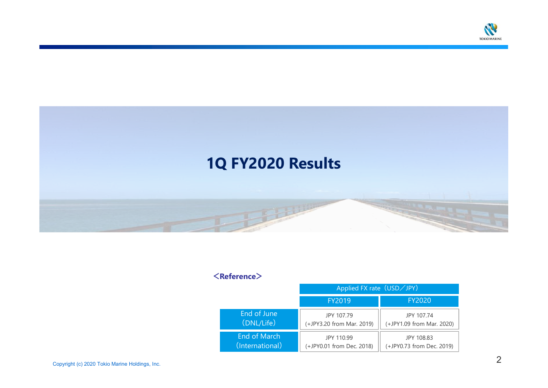



#### **<Reference>**

|                     | Applied FX rate (USD∕JPY) |                           |  |  |  |
|---------------------|---------------------------|---------------------------|--|--|--|
|                     | FY2019                    | <b>FY2020</b>             |  |  |  |
| End of June         | JPY 107.79                | JPY 107.74                |  |  |  |
| (DNL/Life)          | (+JPY3.20 from Mar. 2019) | (+JPY1.09 from Mar. 2020) |  |  |  |
| <b>End of March</b> | JPY 110.99                | JPY 108.83                |  |  |  |
| (International)     | (+JPY0.01 from Dec. 2018) | (+JPY0.73 from Dec. 2019) |  |  |  |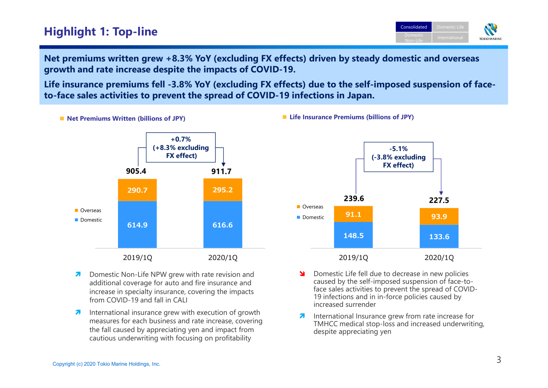## **Highlight 1: Top-line**



**Net premiums written grew +8.3% YoY (excluding FX effects) driven by steady domestic and overseas growth and rate increase despite the impacts of COVID-19.**

**Life insurance premiums fell -3.8% YoY (excluding FX effects) due to the self-imposed suspension of faceto-face sales activities to prevent the spread of COVID-19 infections in Japan.**

**■ Net Premiums Written (billions of JPY) ■ Life Insurance Premiums (billions of JPY)**



- 7 Domestic Non-Life NPW grew with rate revision and additional coverage for auto and fire insurance and increase in specialty insurance, covering the impacts from COVID-19 and fall in CALI
- 2 International insurance grew with execution of growth measures for each business and rate increase, covering the fall caused by appreciating yen and impact fromcautious underwriting with focusing on profitability



- - Domestic Life fell due to decrease in new policies caused by the self-imposed suspension of face-toface sales activities to prevent the spread of COVID-19 infections and in in-force policies caused by increased surrender
- 2 International Insurance grew from rate increase for TMHCC medical stop-loss and increased underwriting, despite appreciating yen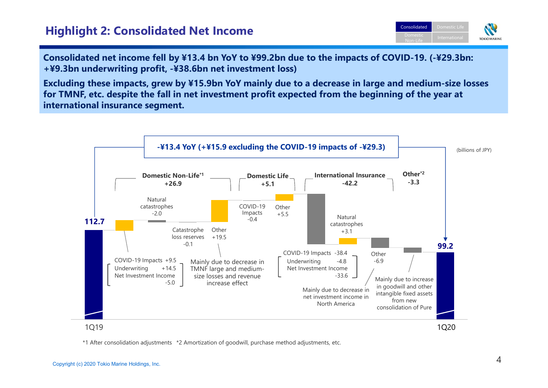## **Highlight 2: Consolidated Net Income**



**Consolidated net income fell by ¥13.4 bn YoY to ¥99.2bn due to the impacts of COVID-19. (-¥29.3bn: +¥9.3bn underwriting profit, -¥38.6bn net investment loss)** 

**Excluding these impacts, grew by ¥15.9bn YoY mainly due to a decrease in large and medium-size losses for TMNF, etc. despite the fall in net investment profit expected from the beginning of the year at international insurance segment.**



\*1 After consolidation adjustments \*2 Amortization of goodwill, purchase method adjustments, etc.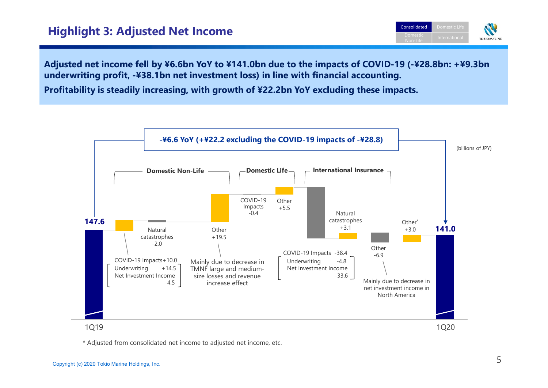## **Highlight 3: Adjusted Net Income**



**Adjusted net income fell by ¥6.6bn YoY to ¥141.0bn due to the impacts of COVID-19 (-¥28.8bn: +¥9.3bn underwriting profit, -¥38.1bn net investment loss) in line with financial accounting.**

**Profitability is steadily increasing, with growth of ¥22.2bn YoY excluding these impacts.**



\* Adjusted from consolidated net income to adjusted net income, etc.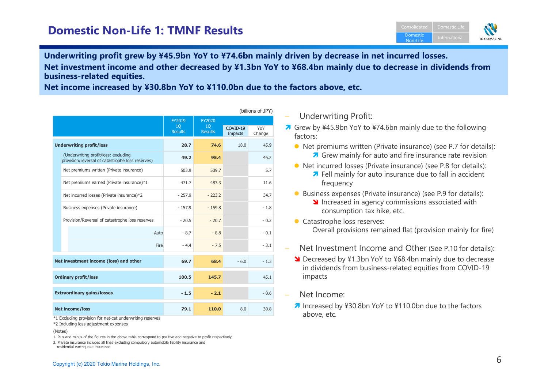

**Underwriting profit grew by ¥45.9bn YoY to ¥74.6bn mainly driven by decrease in net incurred losses.Net investment income and other decreased by ¥1.3bn YoY to ¥68.4bn mainly due to decrease in dividends from business-related equities.**

(billions of JPY)

**Net income increased by ¥30.8bn YoY to ¥110.0bn due to the factors above, etc.**

| , וניוט טווטוווען                      |                                                                                          |                                |                                   |                            |               |  |
|----------------------------------------|------------------------------------------------------------------------------------------|--------------------------------|-----------------------------------|----------------------------|---------------|--|
|                                        |                                                                                          | FY2019<br>10<br><b>Results</b> | FY2020                            |                            |               |  |
|                                        |                                                                                          |                                | 10 <sup>°</sup><br><b>Results</b> | COVID-19<br><b>Impacts</b> | YoY<br>Change |  |
| <b>Underwriting profit/loss</b>        |                                                                                          | 28.7                           | 74.6                              | 18.0                       | 45.9          |  |
|                                        | (Underwriting profit/loss: excluding<br>provision/reversal of catastrophe loss reserves) | 49.2                           | 95.4                              |                            | 46.2          |  |
|                                        | Net premiums written (Private insurance)                                                 | 503.9                          | 509.7                             |                            | 5.7           |  |
|                                        | Net premiums earned (Private insurance)*1                                                | 471.7                          | 483.3                             |                            | 11.6          |  |
|                                        | Net incurred losses (Private insurance)*2                                                | $-257.9$                       | $-223.2$                          |                            | 34.7          |  |
|                                        | Business expenses (Private insurance)                                                    | $-157.9$                       | $-159.8$                          |                            | $-1.8$        |  |
|                                        | Provision/Reversal of catastrophe loss reserves                                          | $-20.5$                        | $-20.7$                           |                            | $-0.2$        |  |
|                                        | Auto                                                                                     | $-8.7$                         | $-8.8$                            |                            | $-0.1$        |  |
|                                        | <b>Fire</b>                                                                              | $-4.4$                         | $-7.5$                            |                            | $-3.1$        |  |
| Net investment income (loss) and other |                                                                                          | 69.7                           | 68.4                              | $-6.0$                     | $-1.3$        |  |
| <b>Ordinary profit/loss</b>            |                                                                                          | 100.5                          | 145.7                             |                            | 45.1          |  |
| <b>Extraordinary gains/losses</b>      |                                                                                          | $-1.5$                         | $-2.1$                            |                            | $-0.6$        |  |
| <b>Net income/loss</b>                 |                                                                                          | 79.1                           | 110.0                             | 8.0                        | 30.8          |  |

\*1 Excluding provision for nat-cat underwriting reserves

\*2 Including loss adjustment expenses

(Notes)

1. Plus and minus of the figures in the above table correspond to positive and negative to profit respectively

2. Private insurance includes all lines excluding compulsory automobile liability insurance andresidential earthquake insurance

- Underwriting Profit:
- **A** Grew by ¥45.9bn YoY to ¥74.6bn mainly due to the following factors: factors:
	- Net premiums written (Private insurance) (see P.7 for details): **A** Grew mainly for auto and fire insurance rate revision
	- Net incurred losses (Private insurance) (see P.8 for details): **7** Fell mainly for auto insurance due to fall in accident frequency frequency
	- Business expenses (Private insurance) (see P.9 for details):
		- **Increased in agency commissions associated with**<br>consumption tay hike ats consumption tax hike, etc.
	- **Catastrophe loss reserves:** Overall provisions remained flat (provision mainly for fire)
- Net Investment Income and Other (See P.10 for details):
- **N** Decreased by ¥1.3bn YoY to ¥68.4bn mainly due to decrease in dividends from business-related equities from COVID-19 impacts
- Net Income:
- Increased by ¥30.8bn YoY to ¥110.0bn due to the factors above ats above, etc.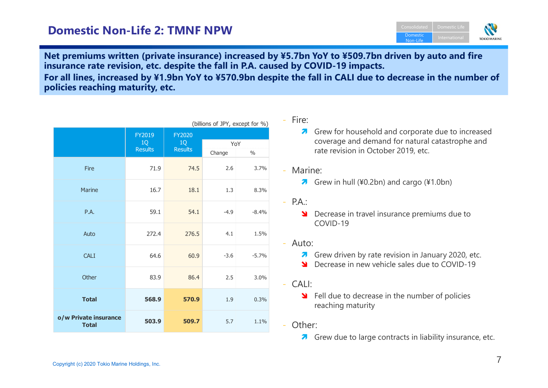## **Domestic Non-Life 2: TMNF NPW**



**Net premiums written (private insurance) increased by ¥5.7bn YoY to ¥509.7bn driven by auto and fire insurance rate revision, etc. despite the fall in P.A. caused by COVID-19 impacts.For all lines, increased by ¥1.9bn YoY to ¥570.9bn despite the fall in CALI due to decrease in the number of policies reaching maturity, etc.**

| (billions of JPY, except for %)       |                |                |        |               |  |
|---------------------------------------|----------------|----------------|--------|---------------|--|
|                                       | FY2019<br>1Q   | FY2020<br>1Q   | YoY    |               |  |
|                                       | <b>Results</b> | <b>Results</b> | Change | $\frac{0}{0}$ |  |
| Fire                                  | 71.9           | 74.5           | 2.6    | 3.7%          |  |
| Marine                                | 16.7           | 18.1           | 1.3    | 8.3%          |  |
| P.A.                                  | 59.1           | 54.1           | $-4.9$ | $-8.4%$       |  |
| Auto                                  | 272.4          | 276.5          | 4.1    | 1.5%          |  |
| <b>CALI</b>                           | 64.6           | 60.9           | $-3.6$ | $-5.7%$       |  |
| Other                                 | 83.9           | 86.4           | 2.5    | 3.0%          |  |
| <b>Total</b>                          | 568.9          | 570.9          | 1.9    | 0.3%          |  |
| o/w Private insurance<br><b>Total</b> | 503.9          | 509.7          | 5.7    | 1.1%          |  |

#### - Fire:

Grew for household and corporate due to increased<br>Coverage and domand for natural catactrophe and coverage and demand for natural catastrophe and rate revision in October 2019, etc.

#### - Marine:

- $\lambda$  Grew in hull (¥0.2bn) and cargo (¥1.0bn)
- P.A.:
	- **SI** Decrease in travel insurance premiums due to<br>COVID 19 COVID-19
- Auto:
	- **7** Grew driven by rate revision in January 2020, etc.
	- **S** Decrease in new vehicle sales due to COVID-19
- CALI:
	- S Fell due to decrease in the number of policies reaching maturity
- Other:
	- **A** Grew due to large contracts in liability insurance, etc.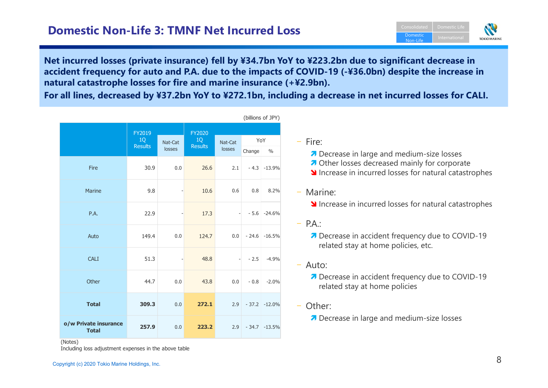

**Net incurred losses (private insurance) fell by ¥34.7bn YoY to ¥223.2bn due to significant decrease in accident frequency for auto and P.A. due to the impacts of COVID-19 (-¥36.0bn) despite the increase innatural catastrophe losses for fire and marine insurance (+¥2.9bn).** 

**For all lines, decreased by ¥37.2bn YoY to ¥272.1bn, including a decrease in net incurred losses for CALI.**

(billions of JPY)

| ן ייני יטייטוייטן                     |                      |                   |                |                   |         |                |  |
|---------------------------------------|----------------------|-------------------|----------------|-------------------|---------|----------------|--|
|                                       | FY2019               |                   | FY2020<br>1Q   |                   | YoY     |                |  |
|                                       | 1Q<br><b>Results</b> | Nat-Cat<br>losses | <b>Results</b> | Nat-Cat<br>losses | Change  | $\frac{0}{0}$  |  |
| Fire                                  | 30.9                 | 0.0               | 26.6           | 2.1               |         | $-4.3 -13.9%$  |  |
| Marine                                | 9.8                  |                   | 10.6           | 0.6               | 0.8     | 8.2%           |  |
| P.A.                                  | 22.9                 |                   | 17.3           | $\qquad \qquad -$ | $-5.6$  | $-24.6%$       |  |
| Auto                                  | 149.4                | 0.0               | 124.7          | 0.0               | $-24.6$ | $-16.5%$       |  |
| <b>CALI</b>                           | 51.3                 |                   | 48.8           |                   | $-2.5$  | $-4.9%$        |  |
| Other                                 | 44.7                 | 0.0               | 43.8           | 0.0               | $-0.8$  | $-2.0%$        |  |
| <b>Total</b>                          | 309.3                | 0.0               | 272.1          | 2.9               | $-37.2$ | $-12.0%$       |  |
| o/w Private insurance<br><b>Total</b> | 257.9                | 0.0               | 223.2          | 2.9               |         | $-34.7 -13.5%$ |  |

– Fire:

- 7 Decrease in large and medium-size losses
- *A* Other losses decreased mainly for corporate
- **N** Increase in incurred losses for natural catastrophes

– Marine:

- **Increase in incurred losses for natural catastrophes**
- P.A.:

**7** Decrease in accident frequency due to COVID-19 related stay at home policies, etc.

- Auto:
	- **7** Decrease in accident frequency due to COVID-19 related stay at home policies
- Other:
	- **7** Decrease in large and medium-size losses

(Notes)

Including loss adjustment expenses in the above table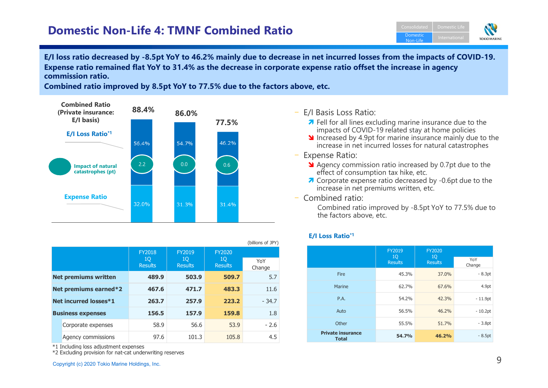## **Domestic Non-Life 4: TMNF Combined Ratio**



**E/I loss ratio decreased by -8.5pt YoY to 46.2% mainly due to decrease in net incurred losses from the impacts of COVID-19.Expense ratio remained flat YoY to 31.4% as the decrease in corporate expense ratio offset the increase in agency commission ratio.**

**Combined ratio improved by 8.5pt YoY to 77.5% due to the factors above, etc.**



|                          |                             |                                              |                      |               | (billions of JPY) |
|--------------------------|-----------------------------|----------------------------------------------|----------------------|---------------|-------------------|
|                          |                             | <b>FY2018</b>                                | FY2019               | <b>FY2020</b> |                   |
|                          |                             | 10<br>10<br><b>Results</b><br><b>Results</b> | 10<br><b>Results</b> | YoY<br>Change |                   |
|                          | <b>Net premiums written</b> | 489.9                                        | 503.9                | 509.7         | 5.7               |
| Net premiums earned*2    |                             | 467.6                                        | 471.7                | 483.3         | 11.6              |
| Net incurred losses*1    |                             | 263.7                                        | 257.9                | 223.2         | $-34.7$           |
| <b>Business expenses</b> |                             | 156.5                                        | 157.9                | 159.8         | 1.8               |
|                          | Corporate expenses          | 58.9                                         | 56.6                 | 53.9          | $-2.6$            |
|                          | Agency commissions          | 97.6                                         | 101.3                | 105.8         | 4.5               |

\*1 Including loss adjustment expenses

\*2 Excluding provision for nat-cat underwriting reserves

- 
- Increased by 4.9pt for marine insurance mainly due to the increase in net incurred losses for natural catastrophes
- –Expense Ratio:
	- Agency commission ratio increased by 0.7pt due to the effect of consumption tax hike, etc.
	- **T** Corporate expense ratio decreased by -0.6pt due to the increase in net premiums written, etc.
- Combined ratio:

Combined ratio improved by -8.5pt YoY to 77.5% due to the factors above, etc.

#### **E/I Loss Ratio\*1**

|                                          | FY2019               | <b>FY2020</b>        |                   |
|------------------------------------------|----------------------|----------------------|-------------------|
|                                          | 10<br><b>Results</b> | 10<br><b>Results</b> | YoY<br>Change     |
| Fire                                     | 45.3%                | 37.0%                | $-8.3pt$          |
| Marine                                   | 62.7%                | 67.6%                | 4.9 <sub>pt</sub> |
| P.A.                                     | 54.2%                | 42.3%                | $-11.9pt$         |
| Auto                                     | 56.5%                | 46.2%                | $-10.2pt$         |
| Other                                    | 55.5%                | 51.7%                | $-3.8pt$          |
| <b>Private insurance</b><br><b>Total</b> | 54.7%                | 46.2%                | $-8.5pt$          |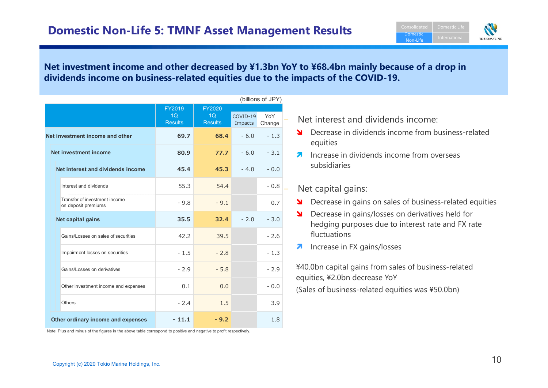

#### **Net investment income and other decreased by ¥1.3bn YoY to ¥68.4bn mainly because of a drop in dividends income on business-related equities due to the impacts of the COVID-19.**

|                                                      |                      |                      |                       | (billions of JPY) |
|------------------------------------------------------|----------------------|----------------------|-----------------------|-------------------|
|                                                      | FY2019               | <b>FY2020</b>        |                       |                   |
|                                                      | 1Q<br><b>Results</b> | 1Q<br><b>Results</b> | $COVID-19$<br>Impacts | YoY<br>Change     |
| Net investment income and other                      | 69.7                 | 68.4                 | $-6.0$                | $-1.3$            |
| Net investment income                                | 80.9                 | 77.7                 | $-6.0$                | $-3.1$            |
| Net interest and dividends income                    | 45.4                 | 45.3                 | $-4.0$                | $-0.0$            |
| Interest and dividends                               | 55.3                 | 54.4                 |                       | $-0.8$            |
| Transfer of investment income<br>on deposit premiums | $-9.8$               | $-9.1$               |                       | 0.7               |
| Net capital gains                                    | 35.5                 | 32.4                 | $-2.0$                | $-3.0$            |
| Gains/Losses on sales of securities                  | 42.2                 | 39.5                 |                       | $-2.6$            |
| Impairment losses on securities                      | $-1.5$               | $-2.8$               |                       | $-1.3$            |
| Gains/Losses on derivatives                          | $-2.9$               | $-5.8$               |                       | $-2.9$            |
| Other investment income and expenses                 | 0.1                  | 0.0                  |                       | $-0.0$            |
| Others                                               | $-2.4$               | 1.5                  |                       | 3.9               |
| Other ordinary income and expenses                   | $-11.1$              | $-9.2$               |                       | 1.8               |

Note: Plus and minus of the figures in the above table correspond to positive and negative to profit respectively.

- Decrease in dividends income from business-related equities
- **Increase in dividends income from overseas**<br>subsidiaries

#### Net capital gains:

- **SEPTE 19.5 In Section** Sales of business-related equities<br> **SEPTE 19.5 In Section** Consingless on derivatives held for
- − Net interest and dividends income:<br>
<br>
 Decrease in dividends income from business-related<br>
equities<br>
 Increase in dividends income from overseas<br>
subsidiaries<br>
→ Net capital gains:<br>
<br>
 Decrease in gains/losses on de Decrease in gains/losses on derivatives held for hedging purposes due to interest rate and FX rate fluctuations
	- $\overline{\boldsymbol{v}}$ Increase in FX gains/losses

¥40.0bn capital gains from sales of business-related equities, ¥2.0bn decrease YoY (Sales of business-related equities was ¥50.0bn)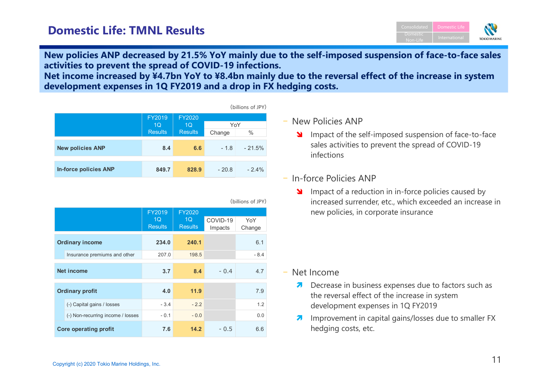

**New policies ANP decreased by 21.5% YoY mainly due to the self-imposed suspension of face-to-face sales activities to prevent the spread of COVID-19 infections.**

 **Net income increased by ¥4.7bn YoY to ¥8.4bn mainly due to the reversal effect of the increase in system development expenses in 1Q FY2019 and a drop in FX hedging costs.**

|                |                |        | (billions of JPY) |
|----------------|----------------|--------|-------------------|
| FY2019         | <b>FY2020</b>  |        |                   |
| 1Q             | 1 <sub>O</sub> | YoY    |                   |
| <b>Results</b> | <b>Results</b> | Change | $\%$              |
|                |                |        |                   |
| 8.4            | 6.6            | $-1.8$ | $-21.5%$          |
|                |                |        |                   |
|                |                |        |                   |
|                |                |        | $-2.4%$           |
|                | 849.7          | 828.9  | $-20.8$           |

|                                   | FY2019               | FY2020                           |          |        |
|-----------------------------------|----------------------|----------------------------------|----------|--------|
|                                   | 1Q<br><b>Results</b> | 1 <sub>O</sub><br><b>Results</b> | COVID-19 | YoY    |
|                                   |                      |                                  | Impacts  | Change |
| <b>Ordinary income</b>            | 234.0                | 240.1                            |          | 6.1    |
| Insurance premiums and other      | 207.0                | 198.5                            |          | $-8.4$ |
|                                   |                      |                                  |          |        |
| <b>Net income</b>                 | 3.7                  | 8.4                              | $-0.4$   | 4.7    |
|                                   |                      |                                  |          |        |
| <b>Ordinary profit</b>            | 4.0                  | 11.9                             |          | 7.9    |
| (-) Capital gains / losses        | $-3.4$               | $-2.2$                           |          | 1.2    |
| (-) Non-recurring income / losses | $-0.1$               | $-0.0$                           |          | 0.0    |
| <b>Core operating profit</b>      | 7.6                  | 14.2                             | $-0.5$   | 6.6    |

(billions of JPY)

## - New Policies ANP

Impact of the self-imposed suspension of face-to-face<br>
selected in the second of GOVID 10 sales activities to prevent the spread of COVID-19 infections

## - In-force Policies ANP

Impact of a reduction in in-force policies caused by<br>increased currently at a which avec adol on increase increased surrender, etc., which exceeded an increase in new policies, in corporate insurance

- Net Income
	- $\bullet$  Decrease in business expenses due to factors such as the reversal effect of the increase in system development expenses in 1Q FY2019
	- **7** Improvement in capital gains/losses due to smaller FX hedging costs, etc.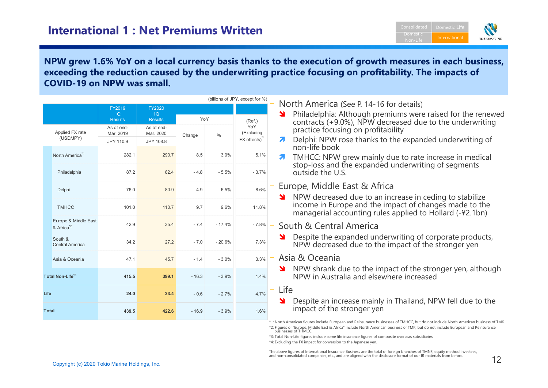

#### **NPW grew 1.6% YoY on a local currency basis thanks to the execution of growth measures in each business, exceeding the reduction caused by the underwriting practice focusing on profitability. The impacts of COVID-19 on NPW was small.**

|              |                                               |                                |                                       |         |          | (billions of JPY, except for %)          |                                                                                                                                    |
|--------------|-----------------------------------------------|--------------------------------|---------------------------------------|---------|----------|------------------------------------------|------------------------------------------------------------------------------------------------------------------------------------|
|              |                                               | FY2019<br>1Q<br><b>Results</b> | <b>FY2020</b><br>1Q<br><b>Results</b> | YoY     |          |                                          | North America (See P. 14-16 for details)<br>Philadelphia: Although premiums were raised for the renewed<br>N                       |
|              | Applied FX rate                               | As of end-<br>Mar. 2019        | As of end-<br>Mar. 2020               | Change  | $\%$     | (Ref.)<br>YoY<br>(Excluding              | contracts (+9.0%), NPW decreased due to the underwriting<br>practice focusing on profitability                                     |
|              | (USD/JPY)                                     | JPY 110.9                      | JPY 108.8                             |         |          | $FX$ effects) <sup><math>*4</math></sup> | Delphi: NPW rose thanks to the expanded underwriting of<br>7<br>non-life book                                                      |
|              | North America <sup>*1</sup>                   | 282.1                          | 290.7                                 | 8.5     | 3.0%     | 5.1%                                     | TMHCC: NPW grew mainly due to rate increase in medical<br>7                                                                        |
|              | Philadelphia                                  | 87.2                           | 82.4                                  | $-4.8$  | $-5.5%$  | $-3.7%$                                  | stop-loss and the expanded underwriting of segments<br>outside the U.S.                                                            |
|              | Delphi                                        | 76.0                           | 80.9                                  | 4.9     | 6.5%     | 8.6%                                     | Europe, Middle East & Africa<br>NPW decreased due to an increase in ceding to stabilize<br>N                                       |
|              | <b>TMHCC</b>                                  | 101.0                          | 110.7                                 | 9.7     | 9.6%     | 11.8%                                    | income in Europe and the impact of changes made to the<br>managerial accounting rules applied to Hollard (-¥2.1bn)                 |
|              | Europe & Middle East<br>& Africa <sup>2</sup> | 42.9                           | 35.4                                  | $-7.4$  | $-17.4%$ | $-7.8%$                                  | South & Central America                                                                                                            |
|              | South &<br><b>Central America</b>             | 34.2                           | 27.2                                  | $-7.0$  | $-20.6%$ | 7.3%                                     | Despite the expanded underwriting of corporate products,<br>¥<br>NPW decreased due to the impact of the stronger yen               |
|              | Asia & Oceania                                | 47.1                           | 45.7                                  | $-1.4$  | $-3.0%$  | 3.3%                                     | Asia & Oceania                                                                                                                     |
|              | Total Non-Life <sup>*3</sup>                  | 415.5                          | 399.1                                 | $-16.3$ | $-3.9%$  | 1.4%                                     | NPW shrank due to the impact of the stronger yen, although<br>NPW in Australia and elsewhere increased                             |
| Life         |                                               | 24.0                           | 23.4                                  | $-0.6$  | $-2.7%$  | 4.7%                                     | Life<br>Despite an increase mainly in Thailand, NPW fell due to the<br>Я                                                           |
| <b>Total</b> |                                               | 439.5                          | 422.6                                 | $-16.9$ | $-3.9%$  | 1.6%                                     | impact of the stronger yen                                                                                                         |
|              |                                               |                                |                                       |         |          |                                          | *1: North American figures include European and Reinsurance businesses of TMHCC, but do not include North American business of TMK |

\*2: Figures of "Europe, Middle East & Africa" include North American business of TMK, but do not include European and Reinsurance businesses of THMCC.

\*3: Total Non-Life figures include some life insurance figures of composite overseas subsidiaries.

\*4: Excluding the FX impact for conversion to the Japanese yen.

The above figures of International Insurance Business are the total of foreign branches of TMNF, equity method investees, and non-consolidated companies, etc., and are aligned with the disclosure format of our IR materials from before.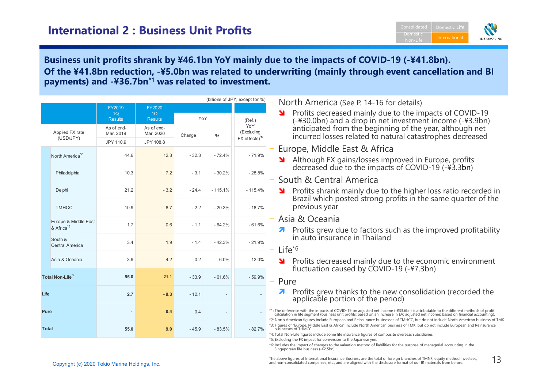

#### **Business unit profits shrank by ¥46.1bn YoY mainly due to the impacts of COVID-19 (-¥41.8bn). Of the ¥41.8bn reduction, -¥5.0bn was related to underwriting (mainly through event cancellation and BI payments) and -¥36.7bn\*1 was related to investment.**

|      |                                                          |                                |                                       |                                                                                                                                                                                                                                      |           | (billions of JPY, except for %)                 | North America (See P. 14-16 for details)                                                                                                                                                                                                                                                                                                                                                                           |
|------|----------------------------------------------------------|--------------------------------|---------------------------------------|--------------------------------------------------------------------------------------------------------------------------------------------------------------------------------------------------------------------------------------|-----------|-------------------------------------------------|--------------------------------------------------------------------------------------------------------------------------------------------------------------------------------------------------------------------------------------------------------------------------------------------------------------------------------------------------------------------------------------------------------------------|
|      |                                                          | FY2019<br>1Q<br><b>Results</b> | <b>FY2020</b><br>1Q<br><b>Results</b> | YoY                                                                                                                                                                                                                                  |           | (Ref.)                                          | Profits decreased mainly due to the impacts of COVID-19<br>¥                                                                                                                                                                                                                                                                                                                                                       |
|      | Applied FX rate<br>(USD/JPY)                             | As of end-<br>Mar. 2019        | As of end-<br>Mar. 2020               | Change                                                                                                                                                                                                                               | %         | YoY<br>(Excluding<br>$FX$ effects) <sup>5</sup> | (-¥30.0bn) and a drop in net investment income (-¥3.9bn)<br>anticipated from the beginning of the year, although net<br>incurred losses related to natural catastrophes decreased                                                                                                                                                                                                                                  |
|      |                                                          | JPY 110.9                      | JPY 108.8                             |                                                                                                                                                                                                                                      |           |                                                 | Europe, Middle East & Africa                                                                                                                                                                                                                                                                                                                                                                                       |
|      | North America <sup>*2</sup>                              | 44.6                           | 12.3                                  | $-32.3$                                                                                                                                                                                                                              | $-72.4%$  | $-71.9%$                                        | Although FX gains/losses improved in Europe, profits                                                                                                                                                                                                                                                                                                                                                               |
|      | Philadelphia                                             | 10.3                           | 7.2                                   | $-3.1$                                                                                                                                                                                                                               | $-30.2%$  | $-28.8%$                                        | decreased due to the impacts of COVID-19 (-¥3.3bn)                                                                                                                                                                                                                                                                                                                                                                 |
|      |                                                          |                                |                                       |                                                                                                                                                                                                                                      |           |                                                 | South & Central America                                                                                                                                                                                                                                                                                                                                                                                            |
|      | Delphi                                                   | 21.2                           | $-3.2$                                | $-24.4$                                                                                                                                                                                                                              | $-115.1%$ | $-115.4%$                                       | Profits shrank mainly due to the higher loss ratio recorded in<br>Brazil which posted strong profits in the same quarter of the                                                                                                                                                                                                                                                                                    |
|      | <b>TMHCC</b>                                             | 10.9                           | 8.7                                   | $-2.2$                                                                                                                                                                                                                               | $-20.3%$  | $-18.7%$                                        | previous year                                                                                                                                                                                                                                                                                                                                                                                                      |
|      | Europe & Middle East<br>& Africa <sup>3</sup><br>South & | 1.7                            | 0.6                                   | $-1.1$                                                                                                                                                                                                                               | $-64.2%$  | $-61.6%$                                        | Asia & Oceania                                                                                                                                                                                                                                                                                                                                                                                                     |
|      |                                                          |                                |                                       |                                                                                                                                                                                                                                      |           |                                                 | Profits grew due to factors such as the improved profitability<br>in auto insurance in Thailand                                                                                                                                                                                                                                                                                                                    |
|      | <b>Central America</b>                                   | 3.4                            | 1.9                                   | $-1.4$                                                                                                                                                                                                                               | $-42.3%$  | $-21.9%$                                        | $Life^{\star 6}$                                                                                                                                                                                                                                                                                                                                                                                                   |
|      | Asia & Oceania                                           | 3.9                            | 4.2                                   | 0.2                                                                                                                                                                                                                                  | 6.0%      | 12.0%                                           | Profits decreased mainly due to the economic environment                                                                                                                                                                                                                                                                                                                                                           |
|      |                                                          |                                |                                       |                                                                                                                                                                                                                                      |           |                                                 | fluctuation caused by COVID-19 (-¥7.3bn)                                                                                                                                                                                                                                                                                                                                                                           |
|      | Total Non-Life <sup>*4</sup>                             | 55.0                           | 21.1                                  | $-33.9$                                                                                                                                                                                                                              | $-61.6%$  | $-59.9%$                                        | Pure<br>$\overline{\phantom{m}}$                                                                                                                                                                                                                                                                                                                                                                                   |
| Life |                                                          | 2.7                            | $-9.3$                                | $-12.1$                                                                                                                                                                                                                              |           |                                                 | Profits grew thanks to the new consolidation (recorded the<br>applicable portion of the period)                                                                                                                                                                                                                                                                                                                    |
|      | Pure                                                     |                                | 0.4                                   | 0.4                                                                                                                                                                                                                                  |           |                                                 | *1: The difference with the impacts of COVID-19 on adjusted net income (-¥33.6bn) is attributable to the different methods of profit<br>calculation in life segment (business unit profits: based on an increase in EV; adjusted net income: based on financial accounting).<br>*2: North American figures include European and Reinsurance businesses of TMHCC, but do not include North American business of TMK |
|      | <b>T</b> otal                                            | 55.0                           | 9.0                                   | $-45.9$                                                                                                                                                                                                                              | $-83.5%$  | $-82.7%$                                        | *3: Figures of "Europe, Middle East & Africa" include North American business of TMK, but do not include European and Reinsurance<br>businesses of THMCC.<br>*4: Total Non-Life figures include some life insurance figures of composite overseas subsidiaries.                                                                                                                                                    |
|      |                                                          |                                |                                       | *5: Excluding the FX impact for conversion to the Japanese yen.<br>*6: Includes the impact of changes to the valuation method of liabilities for the purpose of managerial accounting in the<br>Singaporean life business (-¥2.5bn). |           |                                                 |                                                                                                                                                                                                                                                                                                                                                                                                                    |
|      | Convright (c) 2020 Tokio Marino Holdings, Inc.           |                                |                                       |                                                                                                                                                                                                                                      |           |                                                 | The above figures of International Insurance Business are the total of foreign branches of TMNF, equity method investees,<br>13<br>and non-consolidated companies, etc., and are aligned with the disclosure format of our IR materials from before.                                                                                                                                                               |

The above figures of International Insurance Business are the total of foreign branches of TMNF, equity method investees, and non-consolidated companies, etc., and are aligned with the disclosure format of our IR materials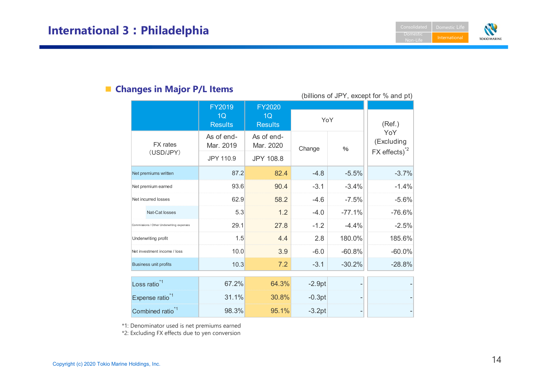

# ■ **Changes in Major P/L Items**

|                                           |                                      |                                       |          |                          | (billions of JPY, except for % and pt)                       |
|-------------------------------------------|--------------------------------------|---------------------------------------|----------|--------------------------|--------------------------------------------------------------|
|                                           | FY2019<br>1Q<br><b>Results</b>       | <b>FY2020</b><br>1Q<br><b>Results</b> | YoY      |                          | (Ref.)                                                       |
| <b>FX</b> rates<br>(USD/JPY)              | As of end-<br>Mar. 2019<br>JPY 110.9 | As of end-<br>Mar. 2020<br>JPY 108.8  | Change   | $\%$                     | YoY<br>(Excluding<br>$FX$ effects) <sup><math>2</math></sup> |
| Net premiums written                      | 87.2                                 | 82.4                                  | $-4.8$   | $-5.5%$                  | $-3.7%$                                                      |
| Net premium earned                        | 93.6                                 | 90.4                                  | $-3.1$   | $-3.4%$                  | $-1.4%$                                                      |
| Net incurred losses                       | 62.9                                 | 58.2                                  | $-4.6$   | $-7.5%$                  | $-5.6%$                                                      |
| Nat-Cat losses                            | 5.3                                  | 1.2                                   | $-4.0$   | $-77.1%$                 | $-76.6%$                                                     |
| Commissions / Other Underwriting expenses | 29.1                                 | 27.8                                  | $-1.2$   | $-4.4%$                  | $-2.5%$                                                      |
| Underwriting profit                       | 1.5                                  | 4.4                                   | 2.8      | 180.0%                   | 185.6%                                                       |
| Net investment income / loss              | 10.0                                 | 3.9                                   | $-6.0$   | $-60.8%$                 | $-60.0%$                                                     |
| <b>Business unit profits</b>              | 10.3                                 | 7.2                                   | $-3.1$   | $-30.2%$                 | $-28.8%$                                                     |
| Loss ratio <sup>*1</sup>                  | 67.2%                                | 64.3%                                 | $-2.9pt$ |                          |                                                              |
| Expense ratio <sup>*1</sup>               | 31.1%                                | 30.8%                                 | $-0.3pt$ | $\overline{\phantom{0}}$ |                                                              |
| Combined ratio <sup>*1</sup>              | 98.3%                                | 95.1%                                 | $-3.2pt$ |                          |                                                              |

\*1: Denominator used is net premiums earned

\*2: Excluding FX effects due to yen conversion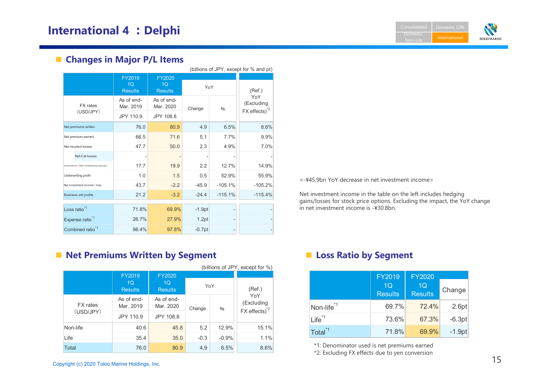**Domestic** International **TOKIO MARINE** 

# **■ Changes in Major P/L Items**

|                                           |                                            |                                                   |          |           | (billions of JPY, except for % and pt)                       |
|-------------------------------------------|--------------------------------------------|---------------------------------------------------|----------|-----------|--------------------------------------------------------------|
|                                           | FY2019<br>1 <sub>O</sub><br><b>Results</b> | <b>FY2020</b><br>1 <sub>O</sub><br><b>Results</b> | YoY      |           | (Ref.)                                                       |
| <b>FX</b> rates<br>(USD/JPY)              | As of end-<br>Mar. 2019                    | As of end-<br>Mar. 2020                           | Change   | $\%$      | YoY<br>(Excluding<br>$FX$ effects) <sup><math>2</math></sup> |
|                                           | JPY 110.9                                  | JPY 108.8                                         |          |           |                                                              |
| Net premiums written                      | 76.0                                       | 80.9                                              | 4.9      | 6.5%      | 8.6%                                                         |
| Net premium earned                        | 66.5                                       | 71.6                                              | 5.1      | 7.7%      | 9.9%                                                         |
| Net incurred losses                       | 47.7                                       | 50.0                                              | 2.3      | 4.9%      | 7.0%                                                         |
| Nat-Cat losses                            |                                            |                                                   |          |           |                                                              |
| Commissions / Other Underwriting expenses | 17.7                                       | 19.9                                              | 2.2      | 12.7%     | 14.9%                                                        |
| Underwriting profit                       | 1.0                                        | 1.5                                               | 0.5      | 52.9%     | 55.9%                                                        |
| Net investment income / loss              | 43.7                                       | $-2.2$                                            | $-45.9$  | $-105.1%$ | $-105.2%$                                                    |
| <b>Business unit profits</b>              | 21.2                                       | $-3.2$                                            | $-24.4$  | $-115.1%$ | $-115.4%$                                                    |
| Loss ratio <sup>*1</sup>                  | 71.8%                                      | 69.9%                                             | $-1.9pt$ | ۰         |                                                              |
| Expense ratio <sup>*1</sup>               | 26.7%                                      | 27.9%                                             | 1.2pt    | -         |                                                              |
| Combined ratio <sup>*1</sup>              | 98.4%                                      | 97.8%                                             | $-0.7pt$ |           |                                                              |

**■ Net Premiums Written by Segment ■ Loss Ratio by Segment**

|                 | (billions of JPY, except for %)            |                                            |        |         |                                               |
|-----------------|--------------------------------------------|--------------------------------------------|--------|---------|-----------------------------------------------|
|                 | FY2019<br>1 <sub>O</sub><br><b>Results</b> | FY2020<br>1 <sub>O</sub><br><b>Results</b> |        | YoY     | (Ref.)                                        |
| <b>FX</b> rates | As of end-<br>Mar. 2019                    | As of end-<br>Mar. 2020                    | Change | $\%$    | YoY<br>(Excluding<br>FX effects) <sup>2</sup> |
| (USD/JPY)       | JPY 110.9                                  | JPY 108.8                                  |        |         |                                               |
| Non-life        | 40.6                                       | 45.8                                       | 5.2    | 12.9%   | 15.1%                                         |
| Life            | 35.4                                       | 35.0                                       | $-0.3$ | $-0.9%$ | 1.1%                                          |
| <b>Total</b>    | 76.0                                       | 80.9                                       | 4.9    | 6.5%    | 8.6%                                          |

<-¥45.9bn YoY decrease in net investment income>

Net investment income in the table on the left includes hedging gains/losses for stock price options. Excluding the impact, the YoY change in net investment income is -¥30.8bn.

| 9<br>$\overline{\mathbf{s}}$ | <b>FY2020</b><br>1Q<br><b>Results</b> | YoY           |                      | (Ref.)             |                        | <b>FY2019</b><br>1Q<br><b>Results</b> | <b>FY2020</b><br>1Q<br><b>Results</b> | Change   |
|------------------------------|---------------------------------------|---------------|----------------------|--------------------|------------------------|---------------------------------------|---------------------------------------|----------|
| ıd-<br>19                    | As of end-<br>Mar. 2020               | Change        | $\%$                 | YoY<br>(Excluding  | Non-life <sup>*1</sup> | 69.7%                                 | 72.4%                                 | 2.6pt    |
| 0.9                          | JPY 108.8                             |               |                      | $FX$ effects) $^2$ | $ Life^{\ast 1} $      | 73.6%                                 | 67.3%                                 | $-6.3pt$ |
| 40.6<br>25 A                 | 45.8<br>350                           | 5.2<br>$-0.3$ | 12.9%<br>$\sim$ 0.0% | 15.1%<br>110/      | Total <sup>*1</sup>    | 71.8%                                 | 69.9%                                 | $-1.9pt$ |

\*1: Denominator used is net premiums earned

\*2: Excluding FX effects due to yen conversion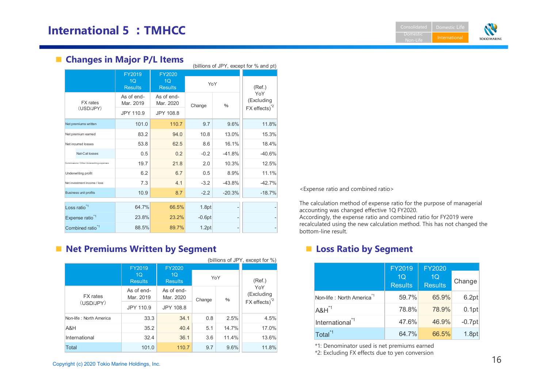**Domestic** International **TOKIO MARINE** 

# ■ **Changes in Major P/L Items**

|  | (billions of JPY, except for % and pt)    |                                |                                |          |                   |                                                              |
|--|-------------------------------------------|--------------------------------|--------------------------------|----------|-------------------|--------------------------------------------------------------|
|  |                                           | FY2019<br>1Q<br><b>Results</b> | FY2020<br>1Q<br><b>Results</b> | YoY      |                   | (Ref.)                                                       |
|  | <b>FX</b> rates<br>(USD/JPY)              | As of end-<br>Mar. 2019        | As of end-<br>Mar. 2020        | Change   | $\%$              | YoY<br>(Excluding<br>$FX$ effects) <sup><math>2</math></sup> |
|  |                                           | JPY 110.9                      | JPY 108.8                      |          |                   |                                                              |
|  | Net premiums written                      | 101.0                          | 110.7                          | 9.7      | 9.6%              | 11.8%                                                        |
|  | Net premium earned                        | 83.2                           | 94.0                           | 10.8     | 13.0%             | 15.3%                                                        |
|  | Net incurred losses                       | 53.8                           | 62.5                           | 8.6      | 16.1%             | 18.4%                                                        |
|  | Nat-Cat losses                            | 0.5                            | 0.2                            | $-0.2$   | $-41.8%$          | $-40.6%$                                                     |
|  | Commissions / Other Underwriting expenses | 19.7                           | 21.8                           | 2.0      | 10.3%             | 12.5%                                                        |
|  | Underwriting profit                       | 6.2                            | 6.7                            | 0.5      | 8.9%              | 11.1%                                                        |
|  | Net investment income / loss              | 7.3                            | 4.1                            | $-3.2$   | $-43.8%$          | $-42.7%$                                                     |
|  | <b>Business unit profits</b>              | 10.9                           | 8.7                            | $-2.2$   | $-20.3%$          | $-18.7%$                                                     |
|  | Loss ratio <sup>*1</sup>                  | 64.7%                          | 66.5%                          | 1.8pt    | $\overline{a}$    |                                                              |
|  | Expense ratio <sup>*1</sup>               | 23.8%                          | 23.2%                          | $-0.6pt$ | $\qquad \qquad -$ |                                                              |
|  | Combined ratio <sup>*1</sup>              | 88.5%                          | 89.7%                          | 1.2pt    |                   |                                                              |

# **■ Net Premiums Written by Segment ■ Loss Ratio by Segment**

|                         | (billions of JPY, except for %)  |                                  |        |       |                                                              |
|-------------------------|----------------------------------|----------------------------------|--------|-------|--------------------------------------------------------------|
|                         | FY2019                           | FY2020                           |        |       |                                                              |
|                         | 1 <sub>O</sub><br><b>Results</b> | 1 <sub>O</sub><br><b>Results</b> | YoY    |       | (Ref.)                                                       |
| <b>FX</b> rates         | As of end-<br>Mar. 2019          | As of end-<br>Mar. 2020          | Change | %     | YoY<br>(Excluding<br>$FX$ effects) <sup><math>2</math></sup> |
| (USD/JPY)               | JPY 110.9                        | JPY 108.8                        |        |       |                                                              |
| Non-life: North America | 33.3                             | 34.1                             | 0.8    | 2.5%  | 4.5%                                                         |
| A&H                     | 35.2                             | 40.4                             | 5.1    | 14.7% | 17.0%                                                        |
| International           | 32.4                             | 36.1                             | 3.6    | 11.4% | 13.6%                                                        |
| <b>Total</b>            | 101.0                            | 110.7                            | 9.7    | 9.6%  | 11.8%                                                        |

<Expense ratio and combined ratio>

The calculation method of expense ratio for the purpose of managerial accounting was changed effective 1Q FY2020. Accordingly, the expense ratio and combined ratio for FY2019 were recalculated using the new calculation method. This has not changed the bottom-line result.

| 0                       |        |       |                                                              |       | <b>FY2019</b>                         | <b>FY2020</b>        |                      |          |
|-------------------------|--------|-------|--------------------------------------------------------------|-------|---------------------------------------|----------------------|----------------------|----------|
| $\overline{\mathbf{s}}$ | YoY    |       | (Ref.)                                                       |       |                                       | 1Q<br><b>Results</b> | 1Q<br><b>Results</b> | Change   |
| ıd-<br>20               | Change | $\%$  | YoY<br>(Excluding<br>$FX$ effects) <sup><math>2</math></sup> |       | Non-life: North America <sup>*1</sup> | 59.7%                | 65.9%                | 6.2pt    |
| 8.8                     |        |       | $A8H^{1}$                                                    | 78.8% | 78.9%                                 | 0.1pt                |                      |          |
| 34.1                    | 0.8    | 2.5%  | 4.5%                                                         |       | International <sup>*1</sup>           | 47.6%                | 46.9%                | $-0.7pt$ |
| 40.4                    | 5.1    | 14.7% | 17.0%                                                        |       | Total <sup>*1</sup>                   | 64.7%                | 66.5%                | 1.8pt    |
| 36.1                    | 3.6    | 11.4% | 13.6%                                                        |       |                                       |                      |                      |          |

\*1: Denominator used is net premiums earned

\*2: Excluding FX effects due to yen conversion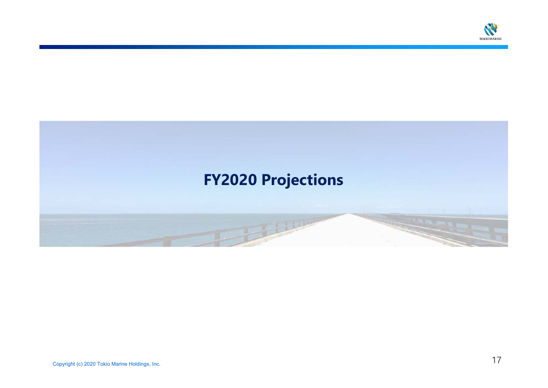

# **FY2020 Projections The Company**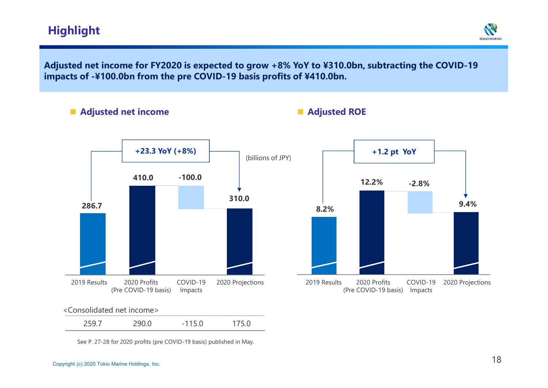## **Highlight**



**Adjusted net income for FY2020 is expected to grow +8% YoY to ¥310.0bn, subtracting the COVID-19 impacts of -¥100.0bn from the pre COVID-19 basis profits of ¥410.0bn.**

**■ Adjusted net income ■ Adjusted ROE**



See P. 27-28 for 2020 profits (pre COVID-19 basis) published in May.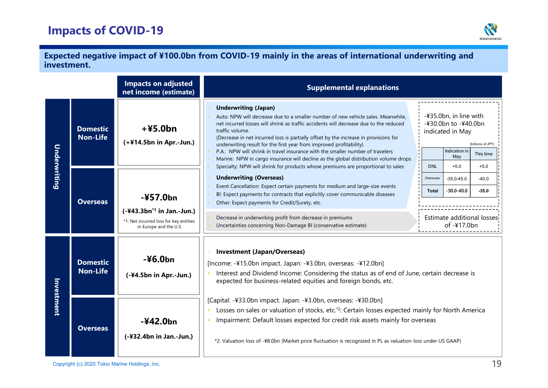# **Impacts of COVID-19**



#### **Expected negative impact of ¥100.0bn from COVID-19 mainly in the areas of international underwriting and investment.**

|                     |                                    | <b>Impacts on adjusted</b><br>net income (estimate)                                 | <b>Supplemental explanations</b>                                                                                                                                                                                                                                                                                                                                                                                                                                                                                                                                    |                                                                                                                                   |                                                                                                                |  |  |  |
|---------------------|------------------------------------|-------------------------------------------------------------------------------------|---------------------------------------------------------------------------------------------------------------------------------------------------------------------------------------------------------------------------------------------------------------------------------------------------------------------------------------------------------------------------------------------------------------------------------------------------------------------------------------------------------------------------------------------------------------------|-----------------------------------------------------------------------------------------------------------------------------------|----------------------------------------------------------------------------------------------------------------|--|--|--|
|                     | <b>Domestic</b><br><b>Non-Life</b> | $+45.0bn$<br>(+¥14.5bn in Apr.-Jun.)                                                | <b>Underwriting (Japan)</b><br>Auto: NPW will decrease due to a smaller number of new vehicle sales. Meanwhile,<br>net incurred losses will shrink as traffic accidents will decrease due to the reduced<br>traffic volume.<br>(Decrease in net incurred loss is partially offset by the increase in provisions for<br>underwriting result for the first year from improved profitability)<br>P.A.: NPW will shrink in travel insurance with the smaller number of travelers<br>Marine: NPW in cargo insurance will decline as the global distribution volume drops |                                                                                                                                   | -¥35.0bn, in line with<br>-¥30.0bn to -¥40.0bn<br>indicated in May<br>(billions of JPY)<br>This time<br>$+5.0$ |  |  |  |
| <u>Underwriting</u> | <b>Overseas</b>                    | $-457.0bn$<br>$(-443.3bn*1$ in Jan.-Jun.)<br>*1: Net incurred loss for key entities | Specialty: NPW will shrink for products whose premiums are proportional to sales<br><b>Underwriting (Overseas)</b><br>Event Cancellation: Expect certain payments for medium and large-size events<br>BI: Expect payments for contracts that explicitly cover communicable diseases<br>Other: Expect payments for Credit/Surety, etc.<br>Decrease in underwriting profit from decrease in premiums<br>Uncertainties concerning Non-Damage BI (conservative estimate)                                                                                                | <b>DNL</b><br>$+5.0$<br>Overseas<br>$-35.0 - 45.0$<br>$-30.0 - 40.0$<br><b>Total</b><br>Estimate additional losses<br>of -¥17.0bn | $-40.0$<br>$-35.0$                                                                                             |  |  |  |
|                     | <b>Domestic</b><br><b>Non-Life</b> | in Europe and the U.S.<br>$-46.0bn$<br>$(-44.5bn in Apr.-Jun.)$                     | <b>Investment (Japan/Overseas)</b><br>[Income: -¥15.0bn impact. Japan: -¥3.0bn, overseas: -¥12.0bn]<br>Interest and Dividend Income: Considering the status as of end of June, certain decrease is<br>expected for business-related equities and foreign bonds, etc.                                                                                                                                                                                                                                                                                                |                                                                                                                                   |                                                                                                                |  |  |  |
| Investment          | <b>Overseas</b>                    | $-442.0bn$<br>(-¥32.4bn in Jan.-Jun.)                                               | [Capital: -¥33.0bn impact. Japan: -¥3.0bn, overseas: -¥30.0bn]<br>Losses on sales or valuation of stocks, etc. <sup>*2</sup> : Certain losses expected mainly for North America<br>$\bullet$<br>Impairment: Default losses expected for credit risk assets mainly for overseas<br>*2: Valuation loss of -¥8.0bn (Market price fluctuation is recognized in PL as valuation loss under US GAAP)                                                                                                                                                                      |                                                                                                                                   |                                                                                                                |  |  |  |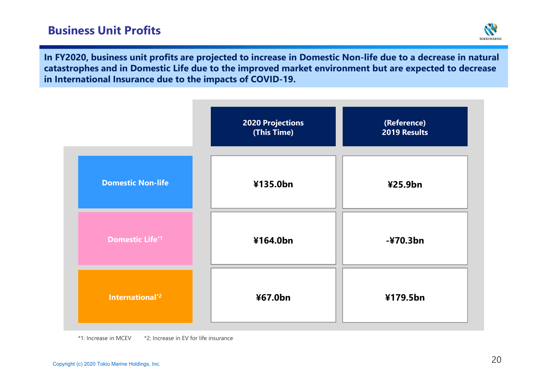

**In FY2020, business unit profits are projected to increase in Domestic Non-life due to a decrease in natural catastrophes and in Domestic Life due to the improved market environment but are expected to decrease in International Insurance due to the impacts of COVID-19.**



<sup>\*1:</sup> Increase in MCEV \*2: Increase in EV for life insurance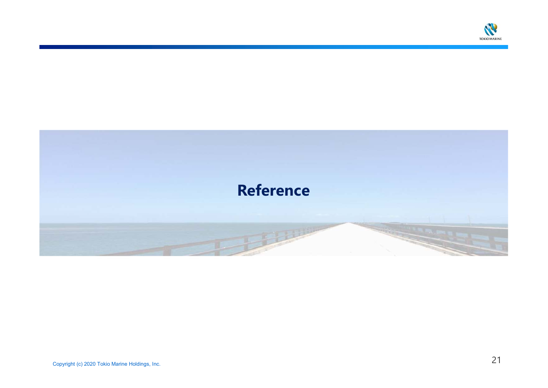

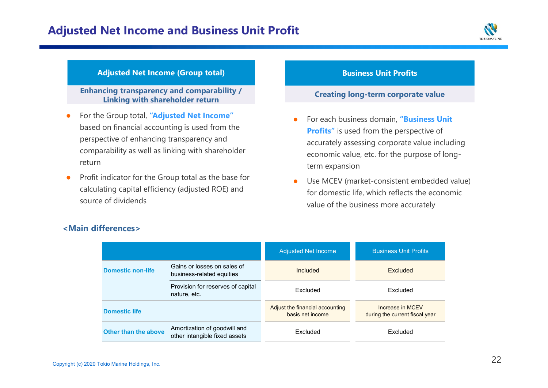

#### **Adjusted Net Income (Group total)**

**Enhancing transparency and comparability /Linking with shareholder return**

- $\bullet$  For the Group total, **"Adjusted Net Income"**  based on financial accounting is used from the perspective of enhancing transparency and comparability as well as linking with shareholder return
- $\bullet$  Profit indicator for the Group total as the base for calculating capital efficiency (adjusted ROE) and source of dividends

#### **Business Unit Profits**

#### **Creating long-term corporate value**

- 0 For each business domain, **"Business Unit Profits"** is used from the perspective of accurately assessing corporate value including economic value, etc. for the purpose of longterm expansion
- 0 Use MCEV (market-consistent embedded value) for domestic life, which reflects the economic value of the business more accurately

|                          |                                                               | <b>Adjusted Net Income</b>                          | <b>Business Unit Profits</b>                       |
|--------------------------|---------------------------------------------------------------|-----------------------------------------------------|----------------------------------------------------|
| <b>Domestic non-life</b> | Gains or losses on sales of<br>business-related equities      | Included                                            | Excluded                                           |
|                          | Provision for reserves of capital<br>nature, etc.             | Excluded                                            | Excluded                                           |
| <b>Domestic life</b>     |                                                               | Adjust the financial accounting<br>basis net income | Increase in MCEV<br>during the current fiscal year |
| Other than the above     | Amortization of goodwill and<br>other intangible fixed assets | Excluded                                            | Excluded                                           |

#### **<Main differences>**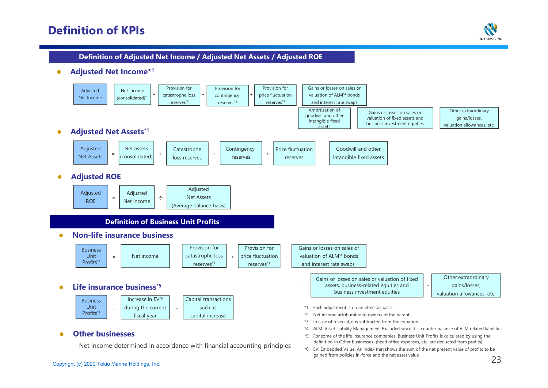## **Definition of KPIs**



#### **Definition of Adjusted Net Income / Adjusted Net Assets / Adjusted ROE**

 $\bullet$ **Adjusted Net Income\*<sup>1</sup>**

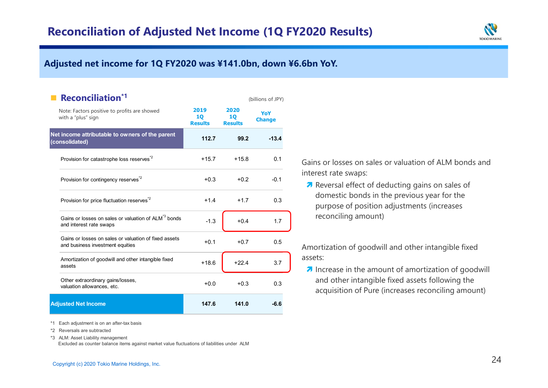

## **<sup>第</sup>1四半期度決算における修正純利益は、前年同期⽐+XX億円増益のX,XXX億円Adjusted net income for 1Q FY2020 was ¥141.0bn, down ¥6.6bn YoY.**

| <b>Reconciliation*1</b>                                                                     |                              |                              | (billions of JPY)    |  |
|---------------------------------------------------------------------------------------------|------------------------------|------------------------------|----------------------|--|
| Note: Factors positive to profits are showed<br>with a "plus" sign                          | 2019<br>10<br><b>Results</b> | 2020<br>10<br><b>Results</b> | YoY<br><b>Change</b> |  |
| Net income attributable to owners of the parent<br>(consolidated)                           | 112.7                        | 99.2                         | $-13.4$              |  |
| Provision for catastrophe loss reserves <sup>*2</sup>                                       | $+15.7$                      | $+15.8$                      | 0.1                  |  |
| Provision for contingency reserves <sup>2</sup>                                             | $+0.3$                       | $+0.2$                       | $-0.1$               |  |
| Provision for price fluctuation reserves <sup>*2</sup>                                      | $+1.4$                       | $+1.7$                       | 0.3                  |  |
| Gains or losses on sales or valuation of ALM <sup>*3</sup> bonds<br>and interest rate swaps | $-1.3$                       | $+0.4$                       | 1.7                  |  |
| Gains or losses on sales or valuation of fixed assets<br>and business investment equities   | $+0.1$                       | $+0.7$                       | 0.5                  |  |
| Amortization of goodwill and other intangible fixed<br>assets                               | $+18.6$                      | $+22.4$                      | 3.7                  |  |
| Other extraordinary gains/losses,<br>valuation allowances, etc.                             | $+0.0$                       | $+0.3$                       | 0.3                  |  |
| <b>Adjusted Net Income</b>                                                                  | 147.6                        | 141.0                        | $-6.6$               |  |

\*1 Each adjustment is on an after-tax basis

\*2 Reversals are subtracted

\*3 ALM: Asset Liability management

Excluded as counter balance items against market value fluctuations of liabilities under ALM

Gains or losses on sales or valuation of ALM bonds and interest rate swaps:

**Reversal effect of deducting gains on sales of** domestic bonds in the previous year for the purpose of position adjustments (increases reconciling amount)

Amortization of goodwill and other intangible fixedassets:

 $\lambda$  Increase in the amount of amortization of goodwill and other intangible fixed assets following the acquisition of Pure (increases reconciling amount)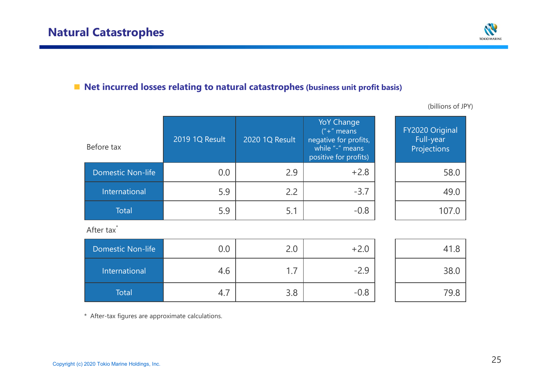

# ■ **Net incurred losses relating to natural catastrophes** (business unit profit basis)

| Before tax               | 2019 1Q Result | 2020 1Q Result | <b>YoY Change</b><br>$" +"$ means<br>negative for profits,<br>while "-" means<br>positive for profits) | FY2020 Original<br>Full-year<br>Projections |
|--------------------------|----------------|----------------|--------------------------------------------------------------------------------------------------------|---------------------------------------------|
| <b>Domestic Non-life</b> | 0.0            | 2.9            | $+2.8$                                                                                                 | 58.0                                        |
| International            | 5.9            | 2.2            | $-3.7$                                                                                                 | 49.0                                        |
| Total                    | 5.9            | 5.1            | $-0.8$                                                                                                 | 107.0                                       |

(billions of JPY)

After tax<sup>\*</sup>

| <b>Domestic Non-life</b> | $0.0\,$ | 2.0    | $+2.0$ |            |
|--------------------------|---------|--------|--------|------------|
| International            | 4.6     | ⇁<br>. | $-2.9$ | 38.C       |
| Total                    | 4.,     | 3.8    | $-0.8$ | 79.、<br>.8 |

\* After-tax figures are approximate calculations.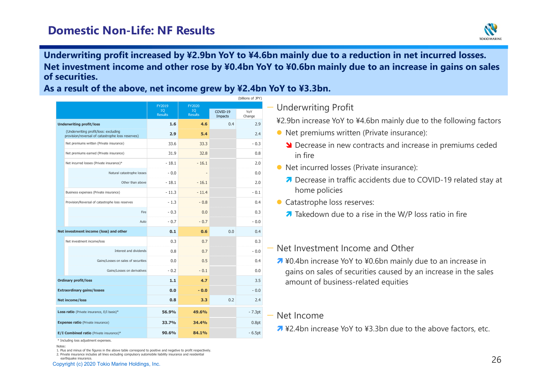

#### **Underwriting profit increased by ¥2.9bn YoY to ¥4.6bn mainly due to <sup>a</sup> reduction in net incurred losses. Net investment income and other rose by ¥0.4bn YoY to ¥0.6bn mainly due to an increase in gains on sales of securities.**

**As a result of the above, net income grew by ¥2.4bn YoY to ¥3.3bn.**

|                                   |                                                                                          | FY2019<br>10 <sub>1</sub><br><b>Results</b> | FY2020<br>10 <sub>1</sub><br><b>Results</b> | COVID-19<br>Impacts | YoY<br>Change |
|-----------------------------------|------------------------------------------------------------------------------------------|---------------------------------------------|---------------------------------------------|---------------------|---------------|
| <b>Underwriting profit/loss</b>   |                                                                                          | 1.6                                         | 4.6                                         | 0.4                 | 2.9           |
|                                   | (Underwriting profit/loss: excluding<br>provision/reversal of catastrophe loss reserves) | 2.9                                         | 5.4                                         |                     | 2.4           |
|                                   | Net premiums written (Private insurance)                                                 | 33.6                                        | 33.3                                        |                     | $-0.3$        |
|                                   | Net premiums earned (Private insurance)                                                  | 31.9                                        | 32.8                                        |                     | 0.8           |
|                                   | Net incurred losses (Private insurance)*                                                 | $-18.1$                                     | $-16.1$                                     |                     | 2.0           |
|                                   | Natural catastrophe losses                                                               | $-0.0$                                      |                                             |                     | 0.0           |
|                                   | Other than above                                                                         | $-18.1$                                     | $-16.1$                                     |                     | 2.0           |
|                                   | Business expenses (Private insurance)                                                    | $-11.3$                                     | $-11.4$                                     |                     | $-0.1$        |
|                                   | Provision/Reversal of catastrophe loss reserves                                          | $-1.3$                                      | $-0.8$                                      |                     | 0.4           |
|                                   | Fire                                                                                     | $-0.3$                                      | 0.0                                         |                     | 0.3           |
|                                   | Auto                                                                                     | $-0.7$                                      | $-0.7$                                      |                     | $-0.0$        |
|                                   | Net investment income (loss) and other                                                   | 0.1                                         | 0.6                                         | 0.0                 | 0.4           |
|                                   | Net investment income/loss                                                               | 0.3                                         | 0.7                                         |                     | 0.3           |
|                                   | Interest and dividends                                                                   | 0.8                                         | 0.7                                         |                     | $-0.0$        |
|                                   | Gains/Losses on sales of securities                                                      | 0.0                                         | 0.5                                         |                     | 0.4           |
|                                   | Gains/Losses on derivatives                                                              | $-0.2$                                      | $-0.1$                                      |                     | 0.0           |
|                                   | <b>Ordinary profit/loss</b>                                                              | $1.1$                                       | 4.7                                         |                     | 3.5           |
| <b>Extraordinary gains/losses</b> |                                                                                          | 0.0                                         | $-0.0$                                      |                     | $-0.0$        |
|                                   | <b>Net income/loss</b>                                                                   | 0.8                                         | 3.3                                         | 0.2                 | 2.4           |
|                                   | Loss ratio (Private insurance, E/I basis)*                                               | 56.9%                                       | 49.6%                                       |                     | $-7.3pt$      |
|                                   | <b>Expense ratio</b> (Private insurance)                                                 | 33.7%                                       | 34.4%                                       |                     | 0.8pt         |
|                                   | E/I Combined ratio (Private insurance)*                                                  | 90.6%                                       | 84.1%                                       |                     | $-6.5pt$      |

(billions of JPY)

## — Underwriting Profit

¥2.9bn increase YoY to ¥4.6bn mainly due to the following factors

- **•** Net premiums written (Private insurance):
	- **Solution 2** Decrease in new contracts and increase in premiums ceded in fine in fire
- **•** Net incurred losses (Private insurance):
	- **7** Decrease in traffic accidents due to COVID-19 related stay at known as lining home policies
- Catastrophe loss reserves:
	- $\overline{\bullet}$  Takedown due to a rise in the W/P loss ratio in fire
- Net Investment Income and Other
	- $\lambda$  ¥0.4bn increase YoY to ¥0.6bn mainly due to an increase in gains on sales of securities caused by an increase in the sales amount of business-related equities

## — Net Income

■ ¥2.4bn increase YoY to ¥3.3bn due to the above factors, etc.

\* Including loss adjustment expenses.

 <sup>26</sup> 1. Plus and minus of the figures in the above table correspond to positive and negative to profit respectively. 2. Private insurance includes all lines excluding compulsory automobile liability insurance and residential earthquake insurance.

Notes: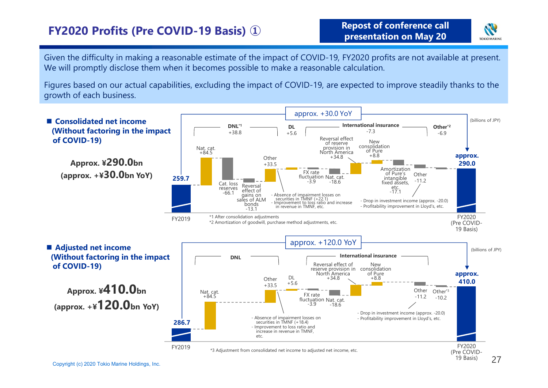# **FY2020 Profits (Pre COVID-19 Basis) ①**



Given the difficulty in making a reasonable estimate of the impact of COVID-19, FY2020 profits are not available at present. We will promptly disclose them when it becomes possible to make a reasonable calculation.

Figures based on our actual capabilities, excluding the impact of COVID-19, are expected to improve steadily thanks to the growth of each business.

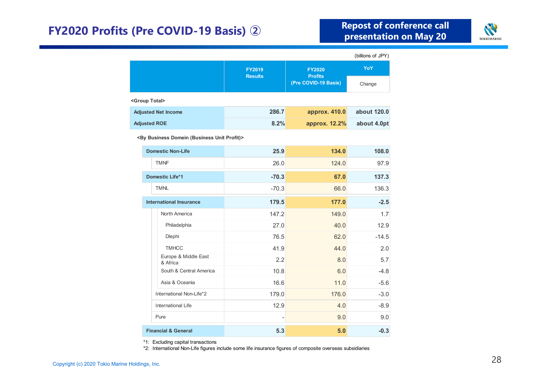# **FY2020 Profits (Pre COVID-19 Basis) ②**



|                                                                 |                                 |                                 | (billions of JPY) |  |
|-----------------------------------------------------------------|---------------------------------|---------------------------------|-------------------|--|
|                                                                 | <b>FY2019</b><br><b>Results</b> | <b>FY2020</b><br><b>Profits</b> | <b>YoY</b>        |  |
|                                                                 |                                 | (Pre COVID-19 Basis)            | Change            |  |
| <group total=""></group>                                        |                                 |                                 |                   |  |
| <b>Adjusted Net Income</b>                                      | 286.7                           | approx. 410.0                   | about 120.0       |  |
| <b>Adjusted ROE</b>                                             | 8.2%                            | approx. 12.2%                   | about 4.0pt       |  |
| <by (business="" business="" domein="" profit)="" unit=""></by> |                                 |                                 |                   |  |
| <b>Domestic Non-Life</b>                                        | 25.9                            | 134.0                           | 108.0             |  |
| <b>TMNF</b>                                                     | 26.0                            | 124.0                           | 97.9              |  |
| <b>Domestic Life*1</b>                                          | $-70.3$                         | 67.0                            | 137.3             |  |
| <b>TMNL</b>                                                     | $-70.3$                         | 66.0                            | 136.3             |  |
| <b>International Insurance</b>                                  | 179.5                           | 177.0                           | $-2.5$            |  |
| North America                                                   | 147.2                           | 149.0                           | 1.7               |  |
| Philadelphia                                                    | 27.0                            | 40.0                            | 12.9              |  |
| Dlephi                                                          | 76.5                            | 62.0                            | $-14.5$           |  |
| <b>TMHCC</b>                                                    | 41.9                            | 44.0                            | 2.0               |  |
| Europe & Middle East<br>& Africa                                | 2.2                             | 8.0                             | 5.7               |  |
| South & Central America                                         | 10.8                            | 6.0                             | $-4.8$            |  |
| Asia & Oceania                                                  | 16.6                            | 11.0                            | $-5.6$            |  |
| International Non-Life*2                                        | 179.0                           | 176.0                           | $-3.0$            |  |
| <b>International Life</b>                                       | 12.9                            | 4.0                             | $-8.9$            |  |
| Pure                                                            |                                 | 9.0                             | 9.0               |  |
| <b>Financial &amp; General</b>                                  | 5.3                             | 5.0                             | $-0.3$            |  |

\*1: Excluding capital transactions

\*2: International Non-Life figures include some life insurance figures of composite overseas subsidiaries